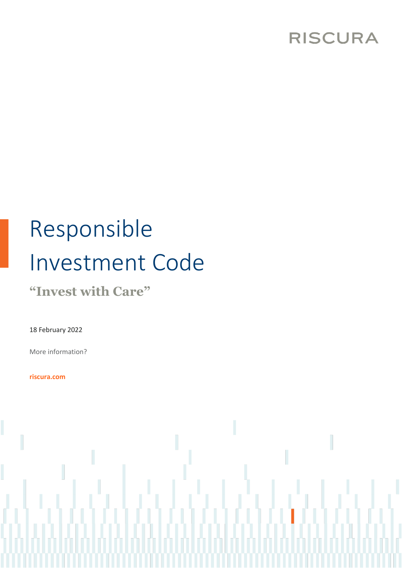## **RISCURA**

# Responsible Investment Code

**"Invest with Care"**

18 February 2022

More information?

**riscura.com**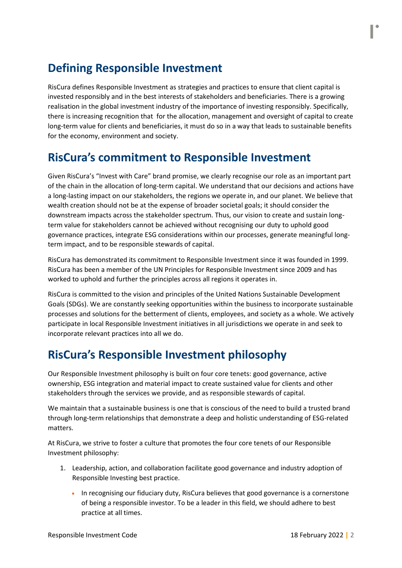## **Defining Responsible Investment**

RisCura defines Responsible Investment as strategies and practices to ensure that client capital is invested responsibly and in the best interests of stakeholders and beneficiaries. There is a growing realisation in the global investment industry of the importance of investing responsibly. Specifically, there is increasing recognition that for the allocation, management and oversight of capital to create long-term value for clients and beneficiaries, it must do so in a way that leads to sustainable benefits for the economy, environment and society.

### **RisCura's commitment to Responsible Investment**

Given RisCura's "Invest with Care" brand promise, we clearly recognise our role as an important part of the chain in the allocation of long-term capital. We understand that our decisions and actions have a long-lasting impact on our stakeholders, the regions we operate in, and our planet. We believe that wealth creation should not be at the expense of broader societal goals; it should consider the downstream impacts across the stakeholder spectrum. Thus, our vision to create and sustain longterm value for stakeholders cannot be achieved without recognising our duty to uphold good governance practices, integrate ESG considerations within our processes, generate meaningful longterm impact, and to be responsible stewards of capital.

RisCura has demonstrated its commitment to Responsible Investment since it was founded in 1999. RisCura has been a member of the UN Principles for Responsible Investment since 2009 and has worked to uphold and further the principles across all regions it operates in.

RisCura is committed to the vision and principles of the United Nations Sustainable Development Goals (SDGs). We are constantly seeking opportunities within the business to incorporate sustainable processes and solutions for the betterment of clients, employees, and society as a whole. We actively participate in local Responsible Investment initiatives in all jurisdictions we operate in and seek to incorporate relevant practices into all we do.

## **RisCura's Responsible Investment philosophy**

Our Responsible Investment philosophy is built on four core tenets: good governance, active ownership, ESG integration and material impact to create sustained value for clients and other stakeholders through the services we provide, and as responsible stewards of capital.

We maintain that a sustainable business is one that is conscious of the need to build a trusted brand through long-term relationships that demonstrate a deep and holistic understanding of ESG-related matters.

At RisCura, we strive to foster a culture that promotes the four core tenets of our Responsible Investment philosophy:

- 1. Leadership, action, and collaboration facilitate good governance and industry adoption of Responsible Investing best practice.
	- In recognising our fiduciary duty, RisCura believes that good governance is a cornerstone of being a responsible investor. To be a leader in this field, we should adhere to best practice at all times.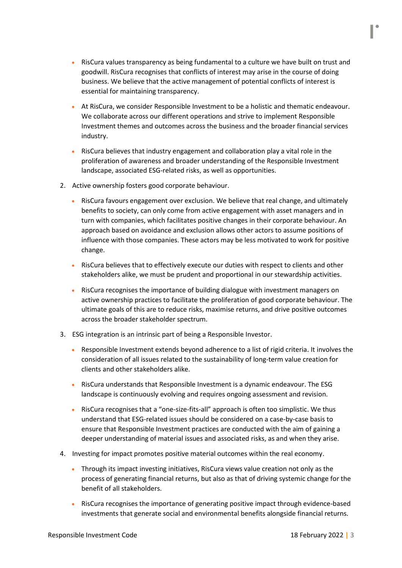- RisCura values transparency as being fundamental to a culture we have built on trust and goodwill. RisCura recognises that conflicts of interest may arise in the course of doing business. We believe that the active management of potential conflicts of interest is essential for maintaining transparency.
- At RisCura, we consider Responsible Investment to be a holistic and thematic endeavour. We collaborate across our different operations and strive to implement Responsible Investment themes and outcomes across the business and the broader financial services industry.
- RisCura believes that industry engagement and collaboration play a vital role in the proliferation of awareness and broader understanding of the Responsible Investment landscape, associated ESG-related risks, as well as opportunities.
- 2. Active ownership fosters good corporate behaviour.
	- RisCura favours engagement over exclusion. We believe that real change, and ultimately benefits to society, can only come from active engagement with asset managers and in turn with companies, which facilitates positive changes in their corporate behaviour. An approach based on avoidance and exclusion allows other actors to assume positions of influence with those companies. These actors may be less motivated to work for positive change.
	- RisCura believes that to effectively execute our duties with respect to clients and other stakeholders alike, we must be prudent and proportional in our stewardship activities.
	- RisCura recognises the importance of building dialogue with investment managers on active ownership practices to facilitate the proliferation of good corporate behaviour. The ultimate goals of this are to reduce risks, maximise returns, and drive positive outcomes across the broader stakeholder spectrum.
- 3. ESG integration is an intrinsic part of being a Responsible Investor.
	- Responsible Investment extends beyond adherence to a list of rigid criteria. It involves the consideration of all issues related to the sustainability of long-term value creation for clients and other stakeholders alike.
	- RisCura understands that Responsible Investment is a dynamic endeavour. The ESG landscape is continuously evolving and requires ongoing assessment and revision.
	- RisCura recognises that a "one-size-fits-all" approach is often too simplistic. We thus understand that ESG-related issues should be considered on a case-by-case basis to ensure that Responsible Investment practices are conducted with the aim of gaining a deeper understanding of material issues and associated risks, as and when they arise.
- 4. Investing for impact promotes positive material outcomes within the real economy.
	- Through its impact investing initiatives, RisCura views value creation not only as the process of generating financial returns, but also as that of driving systemic change for the benefit of all stakeholders.
	- RisCura recognises the importance of generating positive impact through evidence-based investments that generate social and environmental benefits alongside financial returns.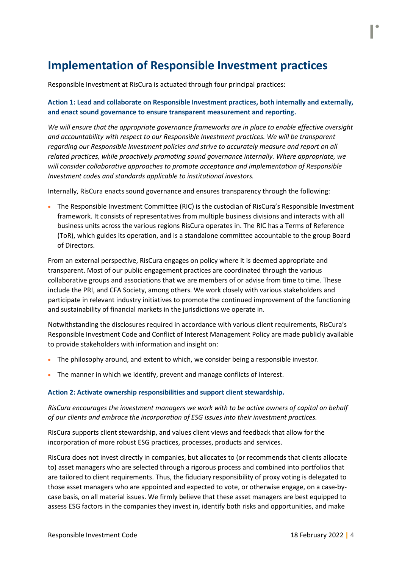## **Implementation of Responsible Investment practices**

Responsible Investment at RisCura is actuated through four principal practices:

#### **Action 1: Lead and collaborate on Responsible Investment practices, both internally and externally, and enact sound governance to ensure transparent measurement and reporting.**

*We will ensure that the appropriate governance frameworks are in place to enable effective oversight and accountability with respect to our Responsible Investment practices. We will be transparent regarding our Responsible Investment policies and strive to accurately measure and report on all related practices, while proactively promoting sound governance internally. Where appropriate, we will consider collaborative approaches to promote acceptance and implementation of Responsible Investment codes and standards applicable to institutional investors.*

Internally, RisCura enacts sound governance and ensures transparency through the following:

• The Responsible Investment Committee (RIC) is the custodian of RisCura's Responsible Investment framework. It consists of representatives from multiple business divisions and interacts with all business units across the various regions RisCura operates in. The RIC has a Terms of Reference (ToR), which guides its operation, and is a standalone committee accountable to the group Board of Directors.

From an external perspective, RisCura engages on policy where it is deemed appropriate and transparent. Most of our public engagement practices are coordinated through the various collaborative groups and associations that we are members of or advise from time to time. These include the PRI, and CFA Society, among others. We work closely with various stakeholders and participate in relevant industry initiatives to promote the continued improvement of the functioning and sustainability of financial markets in the jurisdictions we operate in.

Notwithstanding the disclosures required in accordance with various client requirements, RisCura's Responsible Investment Code and Conflict of Interest Management Policy are made publicly available to provide stakeholders with information and insight on:

- The philosophy around, and extent to which, we consider being a responsible investor.
- The manner in which we identify, prevent and manage conflicts of interest.

#### **Action 2: Activate ownership responsibilities and support client stewardship.**

#### *RisCura encourages the investment managers we work with to be active owners of capital on behalf of our clients and embrace the incorporation of ESG issues into their investment practices.*

RisCura supports client stewardship, and values client views and feedback that allow for the incorporation of more robust ESG practices, processes, products and services.

RisCura does not invest directly in companies, but allocates to (or recommends that clients allocate to) asset managers who are selected through a rigorous process and combined into portfolios that are tailored to client requirements. Thus, the fiduciary responsibility of proxy voting is delegated to those asset managers who are appointed and expected to vote, or otherwise engage, on a case-bycase basis, on all material issues. We firmly believe that these asset managers are best equipped to assess ESG factors in the companies they invest in, identify both risks and opportunities, and make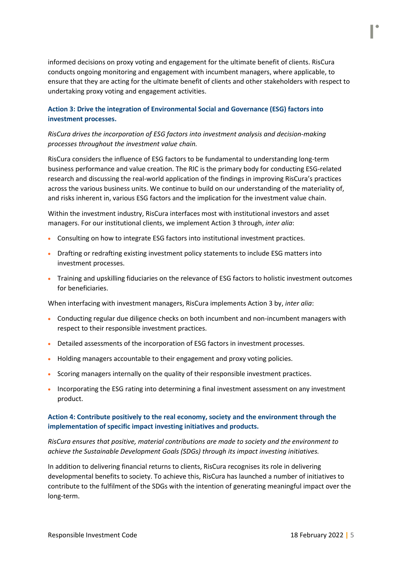informed decisions on proxy voting and engagement for the ultimate benefit of clients. RisCura conducts ongoing monitoring and engagement with incumbent managers, where applicable, to ensure that they are acting for the ultimate benefit of clients and other stakeholders with respect to undertaking proxy voting and engagement activities.

#### **Action 3: Drive the integration of Environmental Social and Governance (ESG) factors into investment processes.**

#### *RisCura drives the incorporation of ESG factors into investment analysis and decision-making processes throughout the investment value chain.*

RisCura considers the influence of ESG factors to be fundamental to understanding long-term business performance and value creation. The RIC is the primary body for conducting ESG-related research and discussing the real-world application of the findings in improving RisCura's practices across the various business units. We continue to build on our understanding of the materiality of, and risks inherent in, various ESG factors and the implication for the investment value chain.

Within the investment industry, RisCura interfaces most with institutional investors and asset managers. For our institutional clients, we implement Action 3 through, *inter alia*:

- Consulting on how to integrate ESG factors into institutional investment practices.
- Drafting or redrafting existing investment policy statements to include ESG matters into investment processes.
- Training and upskilling fiduciaries on the relevance of ESG factors to holistic investment outcomes for beneficiaries.

When interfacing with investment managers, RisCura implements Action 3 by, *inter alia*:

- Conducting regular due diligence checks on both incumbent and non-incumbent managers with respect to their responsible investment practices.
- Detailed assessments of the incorporation of ESG factors in investment processes.
- Holding managers accountable to their engagement and proxy voting policies.
- Scoring managers internally on the quality of their responsible investment practices.
- Incorporating the ESG rating into determining a final investment assessment on any investment product.

#### **Action 4: Contribute positively to the real economy, society and the environment through the implementation of specific impact investing initiatives and products.**

*RisCura ensures that positive, material contributions are made to society and the environment to achieve the Sustainable Development Goals (SDGs) through its impact investing initiatives.*

In addition to delivering financial returns to clients, RisCura recognises its role in delivering developmental benefits to society. To achieve this, RisCura has launched a number of initiatives to contribute to the fulfilment of the SDGs with the intention of generating meaningful impact over the long-term.